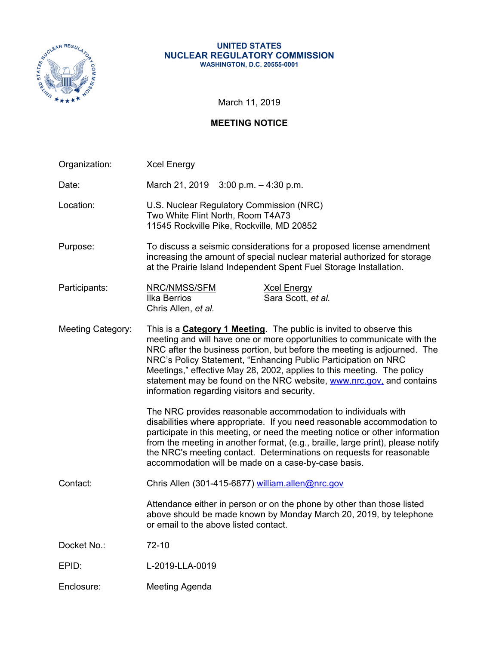

#### **UNITED STATES NUCLEAR REGULATORY COMMISSION WASHINGTON, D.C. 20555-0001**

March 11, 2019

# **MEETING NOTICE**

| Organization:            | <b>Xcel Energy</b>                                                                                                                                                                                                                                                                                                                                                                                                                                                                                     |  |  |  |  |
|--------------------------|--------------------------------------------------------------------------------------------------------------------------------------------------------------------------------------------------------------------------------------------------------------------------------------------------------------------------------------------------------------------------------------------------------------------------------------------------------------------------------------------------------|--|--|--|--|
| Date:                    | March 21, 2019 $3:00$ p.m. $-4:30$ p.m.                                                                                                                                                                                                                                                                                                                                                                                                                                                                |  |  |  |  |
| Location:                | U.S. Nuclear Regulatory Commission (NRC)<br>Two White Flint North, Room T4A73<br>11545 Rockville Pike, Rockville, MD 20852                                                                                                                                                                                                                                                                                                                                                                             |  |  |  |  |
| Purpose:                 | To discuss a seismic considerations for a proposed license amendment<br>increasing the amount of special nuclear material authorized for storage<br>at the Prairie Island Independent Spent Fuel Storage Installation.                                                                                                                                                                                                                                                                                 |  |  |  |  |
| Participants:            | NRC/NMSS/SFM<br><b>Xcel Energy</b><br><b>Ilka Berrios</b><br>Sara Scott, et al.<br>Chris Allen, et al.                                                                                                                                                                                                                                                                                                                                                                                                 |  |  |  |  |
| <b>Meeting Category:</b> | This is a <b>Category 1 Meeting</b> . The public is invited to observe this<br>meeting and will have one or more opportunities to communicate with the<br>NRC after the business portion, but before the meeting is adjourned. The<br>NRC's Policy Statement, "Enhancing Public Participation on NRC<br>Meetings," effective May 28, 2002, applies to this meeting. The policy<br>statement may be found on the NRC website, www.nrc.gov, and contains<br>information regarding visitors and security. |  |  |  |  |
|                          | The NRC provides reasonable accommodation to individuals with<br>disabilities where appropriate. If you need reasonable accommodation to<br>participate in this meeting, or need the meeting notice or other information<br>from the meeting in another format, (e.g., braille, large print), please notify<br>the NRC's meeting contact. Determinations on requests for reasonable<br>accommodation will be made on a case-by-case basis.                                                             |  |  |  |  |
| Contact:                 | Chris Allen (301-415-6877) william.allen@nrc.gov                                                                                                                                                                                                                                                                                                                                                                                                                                                       |  |  |  |  |
|                          | Attendance either in person or on the phone by other than those listed<br>above should be made known by Monday March 20, 2019, by telephone<br>or email to the above listed contact.                                                                                                                                                                                                                                                                                                                   |  |  |  |  |
| Docket No.:              | 72-10                                                                                                                                                                                                                                                                                                                                                                                                                                                                                                  |  |  |  |  |
| EPID:                    | L-2019-LLA-0019                                                                                                                                                                                                                                                                                                                                                                                                                                                                                        |  |  |  |  |
| Enclosure:               | Meeting Agenda                                                                                                                                                                                                                                                                                                                                                                                                                                                                                         |  |  |  |  |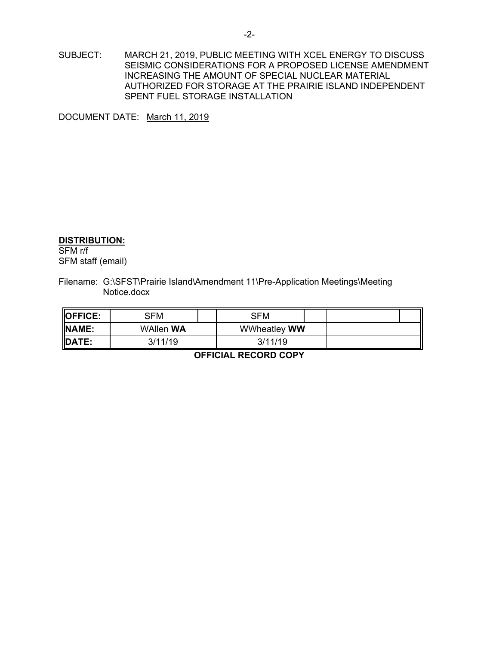SUBJECT: MARCH 21, 2019, PUBLIC MEETING WITH XCEL ENERGY TO DISCUSS SEISMIC CONSIDERATIONS FOR A PROPOSED LICENSE AMENDMENT INCREASING THE AMOUNT OF SPECIAL NUCLEAR MATERIAL AUTHORIZED FOR STORAGE AT THE PRAIRIE ISLAND INDEPENDENT SPENT FUEL STORAGE INSTALLATION

DOCUMENT DATE: March 11, 2019

#### **DISTRIBUTION:**

SFM r/f SFM staff (email)

Filename: G:\SFST\Prairie Island\Amendment 11\Pre-Application Meetings\Meeting Notice.docx

| <b>IOFFICE:</b> | SFM              |  | SFM                 |  |  |
|-----------------|------------------|--|---------------------|--|--|
| NAME:           | <b>WAllen WA</b> |  | <b>WWheatley WW</b> |  |  |
| DATE:           | 3/11/19          |  | 3/11/19             |  |  |

**OFFICIAL RECORD COPY**